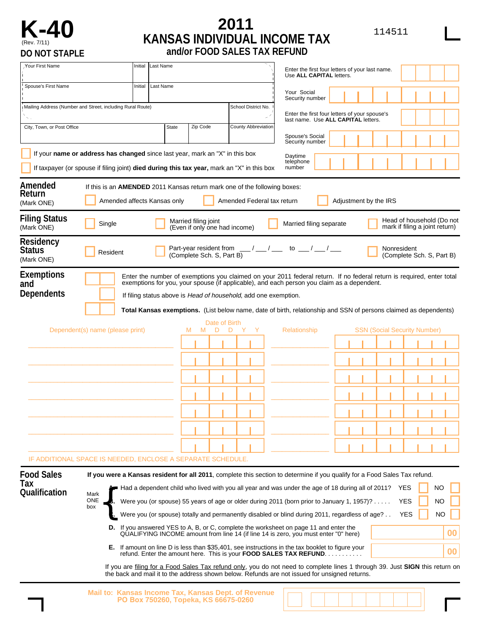

## **K-40** *KANSAS INDIVIDUAL INCOME TAX* **114511** (Rev. 7/11) **KANSAS INDIVIDUAL INCOME TAX DO NOT STAPLE and/or FOOD SALES TAX REFUND**

| Your First Name                                             |                                                                                                                                                                            | Initial | <b>Last Name</b>                     |                                                       |                                                                         | Enter the first four letters of your last name.<br>Use ALL CAPITAL letters.                                                                                                                                                                                                                                                                                                                                                                                                                                                                                            |                                                                                                                                                                                                                                                                                                                                             |                                                                                                                                                                                 |  |  |  |  |  |
|-------------------------------------------------------------|----------------------------------------------------------------------------------------------------------------------------------------------------------------------------|---------|--------------------------------------|-------------------------------------------------------|-------------------------------------------------------------------------|------------------------------------------------------------------------------------------------------------------------------------------------------------------------------------------------------------------------------------------------------------------------------------------------------------------------------------------------------------------------------------------------------------------------------------------------------------------------------------------------------------------------------------------------------------------------|---------------------------------------------------------------------------------------------------------------------------------------------------------------------------------------------------------------------------------------------------------------------------------------------------------------------------------------------|---------------------------------------------------------------------------------------------------------------------------------------------------------------------------------|--|--|--|--|--|
| Spouse's First Name<br>Initial                              |                                                                                                                                                                            |         | Last Name                            |                                                       |                                                                         | Your Social<br>Security number                                                                                                                                                                                                                                                                                                                                                                                                                                                                                                                                         |                                                                                                                                                                                                                                                                                                                                             |                                                                                                                                                                                 |  |  |  |  |  |
| Mailing Address (Number and Street, including Rural Route)  |                                                                                                                                                                            |         |                                      |                                                       | School District No.                                                     | Enter the first four letters of your spouse's<br>last name. Use ALL CAPITAL letters.                                                                                                                                                                                                                                                                                                                                                                                                                                                                                   |                                                                                                                                                                                                                                                                                                                                             |                                                                                                                                                                                 |  |  |  |  |  |
| City, Town, or Post Office                                  |                                                                                                                                                                            |         | <b>State</b>                         | Zip Code                                              | County Abbreviation                                                     | Spouse's Social<br>Security number                                                                                                                                                                                                                                                                                                                                                                                                                                                                                                                                     |                                                                                                                                                                                                                                                                                                                                             |                                                                                                                                                                                 |  |  |  |  |  |
|                                                             | If your name or address has changed since last year, mark an "X" in this box<br>If taxpayer (or spouse if filing joint) died during this tax year, mark an "X" in this box |         |                                      |                                                       |                                                                         | Daytime<br>telephone<br>number                                                                                                                                                                                                                                                                                                                                                                                                                                                                                                                                         |                                                                                                                                                                                                                                                                                                                                             |                                                                                                                                                                                 |  |  |  |  |  |
| Amended<br>Return<br>(Mark ONE)                             | If this is an <b>AMENDED</b> 2011 Kansas return mark one of the following boxes:                                                                                           |         | Amended affects Kansas only          |                                                       | Amended Federal tax return                                              |                                                                                                                                                                                                                                                                                                                                                                                                                                                                                                                                                                        | Adjustment by the IRS                                                                                                                                                                                                                                                                                                                       |                                                                                                                                                                                 |  |  |  |  |  |
| <b>Filing Status</b><br>(Mark ONE)                          | Single                                                                                                                                                                     |         |                                      | Married filing joint<br>(Even if only one had income) |                                                                         | Married filing separate                                                                                                                                                                                                                                                                                                                                                                                                                                                                                                                                                |                                                                                                                                                                                                                                                                                                                                             | Head of household (Do not<br>mark if filing a joint return)                                                                                                                     |  |  |  |  |  |
| Residency<br>Status<br>(Mark ONE)                           | Resident                                                                                                                                                                   |         |                                      | (Complete Sch. S, Part B)                             |                                                                         | Part-year resident from $\underline{\qquad \qquad }$ / $\underline{\qquad \qquad }$ to $\underline{\qquad \qquad }$ / $\underline{\qquad \qquad }$                                                                                                                                                                                                                                                                                                                                                                                                                     |                                                                                                                                                                                                                                                                                                                                             | Nonresident<br>(Complete Sch. S, Part B)                                                                                                                                        |  |  |  |  |  |
| Exemptions<br>and                                           |                                                                                                                                                                            |         |                                      |                                                       |                                                                         | exemptions for you, your spouse (if applicable), and each person you claim as a dependent.                                                                                                                                                                                                                                                                                                                                                                                                                                                                             | Enter the number of exemptions you claimed on your 2011 federal return. If no federal return is required, enter total                                                                                                                                                                                                                       |                                                                                                                                                                                 |  |  |  |  |  |
| <b>Dependents</b>                                           |                                                                                                                                                                            |         |                                      |                                                       | If filing status above is <i>Head of household</i> , add one exemption. |                                                                                                                                                                                                                                                                                                                                                                                                                                                                                                                                                                        | Total Kansas exemptions. (List below name, date of birth, relationship and SSN of persons claimed as dependents)                                                                                                                                                                                                                            |                                                                                                                                                                                 |  |  |  |  |  |
|                                                             | Dependent(s) name (please print)                                                                                                                                           |         |                                      | M<br>M<br>D                                           | D                                                                       | Relationship                                                                                                                                                                                                                                                                                                                                                                                                                                                                                                                                                           |                                                                                                                                                                                                                                                                                                                                             | <b>SSN (Social Security Number)</b>                                                                                                                                             |  |  |  |  |  |
| IF ADDITIONAL SPACE IS NEEDED, ENCLOSE A SEPARATE SCHEDULE. |                                                                                                                                                                            |         |                                      |                                                       |                                                                         |                                                                                                                                                                                                                                                                                                                                                                                                                                                                                                                                                                        |                                                                                                                                                                                                                                                                                                                                             |                                                                                                                                                                                 |  |  |  |  |  |
| <b>Food Sales</b><br>Tax<br><b>Qualification</b>            | Mark<br><b>ONE</b><br>box                                                                                                                                                  |         |                                      |                                                       |                                                                         | B. Were you (or spouse) 55 years of age or older during 2011 (born prior to January 1, 1957)?<br><b>D.</b> If you answered YES to A, B, or C, complete the worksheet on page 11 and enter the<br>QUALIFYING INCOME amount from line 14 (if line 14 is zero, you must enter "0" here)<br><b>E.</b> If amount on line D is less than \$35,401, see instructions in the tax booklet to figure your<br>refund. Enter the amount here. This is your FOOD SALES TAX REFUND.<br>the back and mail it to the address shown below. Refunds are not issued for unsigned returns. | If you were a Kansas resident for all 2011, complete this section to determine if you qualify for a Food Sales Tax refund.<br>A. Had a dependent child who lived with you all year and was under the age of 18 during all of 2011? YES<br>C. Were you (or spouse) totally and permanently disabled or blind during 2011, regardless of age? | NO<br><b>YES</b><br>NO<br>NO<br>YES<br>00<br>00<br>If you are filing for a Food Sales Tax refund only, you do not need to complete lines 1 through 39. Just SIGN this return on |  |  |  |  |  |
|                                                             | Mail to: Kansas Income Tax, Kansas Dept. of Revenue                                                                                                                        |         | PO Box 750260, Topeka, KS 66675-0260 |                                                       |                                                                         |                                                                                                                                                                                                                                                                                                                                                                                                                                                                                                                                                                        |                                                                                                                                                                                                                                                                                                                                             |                                                                                                                                                                                 |  |  |  |  |  |